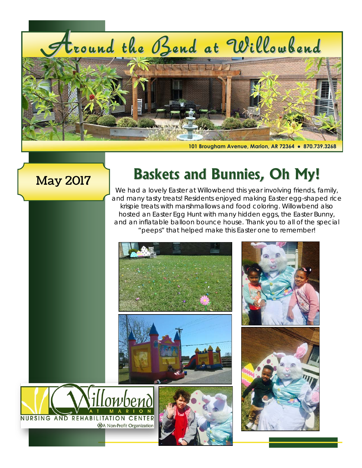# tround the Bend at Willowbend



**101 Brougham Avenue, Marion, AR 72364 ● 870.739.3268**

### May 2017

# **Baskets and Bunnies, Oh My!**

We had a lovely Easter at Willowbend this year involving friends, family, and many tasty treats! Residents enjoyed making Easter egg-shaped rice krispie treats with marshmallows and food coloring. Willowbend also hosted an Easter Egg Hunt with many hidden eggs, the Easter Bunny, and an inflatable balloon bounce house. Thank you to all of the special "peeps" that helped make this Easter one to remember!

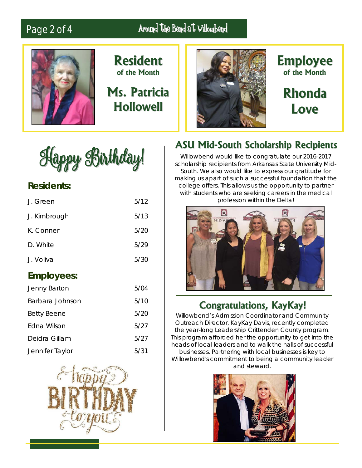# Page 2 of 4 Around the Bend at Willowbend



**Resident of the Month**

# **Ms. Patricia Hollowell**



**Employee of the Month**

**Rhonda Love**



#### **Residents:**

| J. Voliva<br><b>Employees:</b> | 5/30 |
|--------------------------------|------|
| D. White                       | 5/29 |
| K. Conner                      | 5/20 |
| J. Kimbrough                   | 5/13 |
| J. Green                       | 5/12 |

| Jenny Barton       | 5/04 |
|--------------------|------|
| Barbara Johnson    | 5/10 |
| <b>Betty Beene</b> | 5/20 |
| Edna Wilson        | 5/27 |
| Deidra Gillam      | 5/27 |
| Jennifer Taylor    | 5/31 |



#### **ASU Mid-South Scholarship Recipients**

Willowbend would like to congratulate our 2016-2017 scholarship recipients from Arkansas State University Mid-South. We also would like to express our gratitude for making us apart of such a successful foundation that the college offers. This allows us the opportunity to partner with students who are seeking careers in the medical profession within the Delta!



#### **Congratulations, KayKay!**

Willowbend's Admission Coordinator and Community Outreach Director, KayKay Davis, recently completed the year-long Leadership Crittenden County program. This program afforded her the opportunity to get into the heads of local leaders and to walk the halls of successful businesses. Partnering with local businesses is key to Willowbend's commitment to being a community leader and steward.

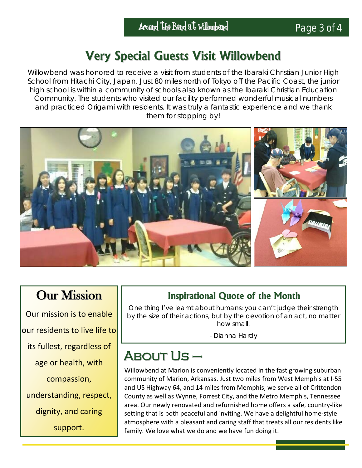# **Very Special Guests Visit Willowbend**

Willowbend was honored to receive a visit from students of the Ibaraki Christian Junior High School from Hitachi City, Japan. Just 80 miles north of Tokyo off the Pacific Coast, the junior high school is within a community of schools also known as the Ibaraki Christian Education Community. The students who visited our facility performed wonderful musical numbers and practiced Origami with residents. It was truly a fantastic experience and we thank them for stopping by!



## **Our Mission**

Our mission is to enable our residents to live life to its fullest, regardless of age or health, with compassion, understanding, respect, dignity, and caring support.

#### **Inspirational Quote of the Month**

[One thing I've learnt about humans: you can't judge their strength](http://www.values.com/inspirational-quotes/7623-one-thing-i-ve-learnt-about-humans-you-can-t)  [by the size of their actions, but by the devotion of an act, no matter](http://www.values.com/inspirational-quotes/7623-one-thing-i-ve-learnt-about-humans-you-can-t)  [how small.](http://www.values.com/inspirational-quotes/7623-one-thing-i-ve-learnt-about-humans-you-can-t)

- Dianna Hardy

# About Us –

Willowbend at Marion is conveniently located in the fast growing suburban community of Marion, Arkansas. Just two miles from West Memphis at I-55 and US Highway 64, and 14 miles from Memphis, we serve all of Crittendon County as well as Wynne, Forrest City, and the Metro Memphis, Tennessee area. Our newly renovated and refurnished home offers a safe, country-like setting that is both peaceful and inviting. We have a delightful home-style atmosphere with a pleasant and caring staff that treats all our residents like family. We love what we do and we have fun doing it.